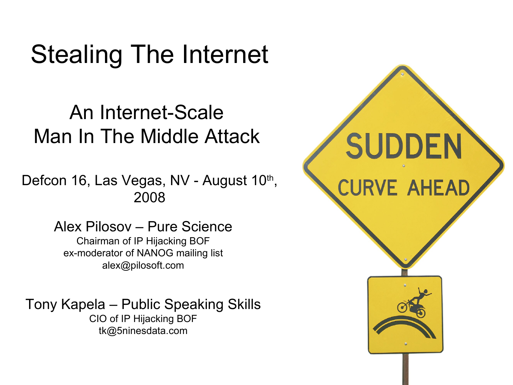#### Stealing The Internet

#### An Internet-Scale Man In The Middle Attack

Defcon 16, Las Vegas, NV - August 10<sup>th</sup>, 2008

> Alex Pilosov – Pure Science Chairman of IP Hijacking BOF ex-moderator of NANOG mailing list alex@pilosoft.com

Tony Kapela – Public Speaking Skills CIO of IP Hijacking BOF tk@5ninesdata.com

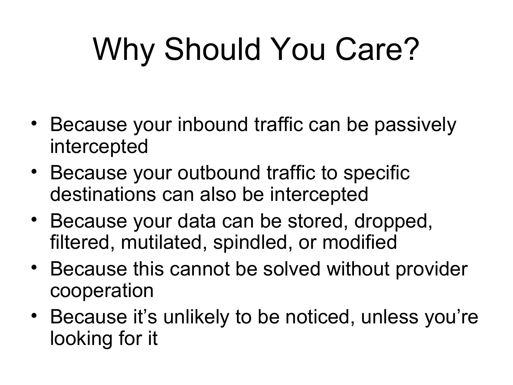# Why Should You Care?

- Because your inbound traffic can be passively intercepted
- Because your outbound traffic to specific destinations can also be intercepted
- Because your data can be stored, dropped, filtered, mutilated, spindled, or modified
- Because this cannot be solved without provider cooperation
- Because it's unlikely to be noticed, unless you're looking for it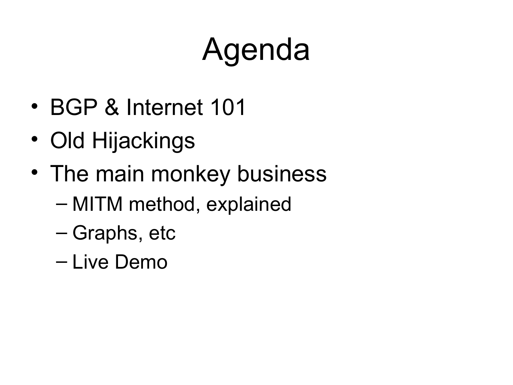# Agenda

- BGP & Internet 101
- Old Hijackings
- The main monkey business
	- MITM method, explained
	- Graphs, etc
	- Live Demo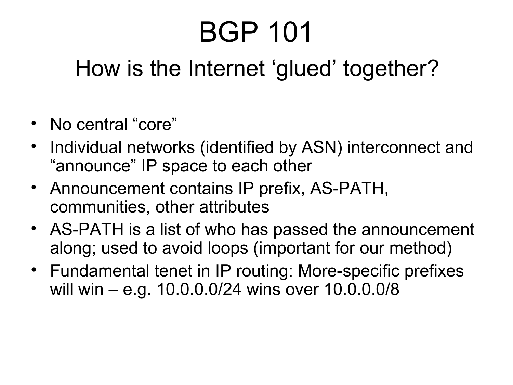### BGP 101

#### How is the Internet 'glued' together?

- No central "core"
- Individual networks (identified by ASN) interconnect and "announce" IP space to each other
- Announcement contains IP prefix, AS-PATH, communities, other attributes
- AS-PATH is a list of who has passed the announcement along; used to avoid loops (important for our method)
- Fundamental tenet in IP routing: More-specific prefixes will win – e.g. 10.0.0.0/24 wins over 10.0.0.0/8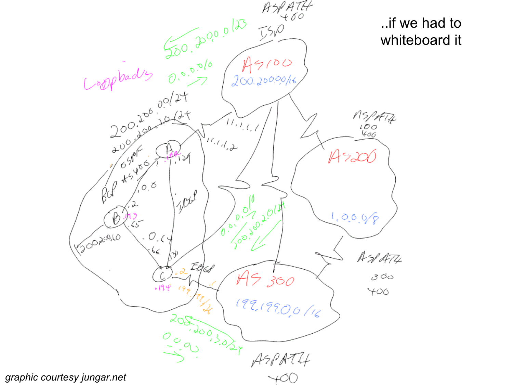

*graphic courtesy jungar.net*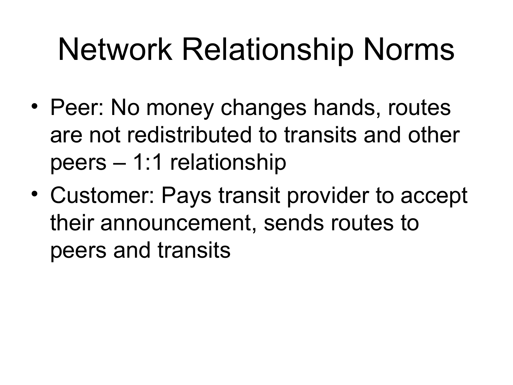## Network Relationship Norms

- Peer: No money changes hands, routes are not redistributed to transits and other peers – 1:1 relationship
- Customer: Pays transit provider to accept their announcement, sends routes to peers and transits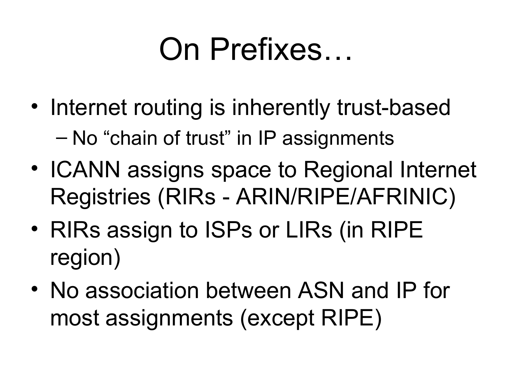### On Prefixes…

- Internet routing is inherently trust-based – No "chain of trust" in IP assignments
- ICANN assigns space to Regional Internet Registries (RIRs - ARIN/RIPE/AFRINIC)
- RIRs assign to ISPs or LIRs (in RIPE region)
- No association between ASN and IP for most assignments (except RIPE)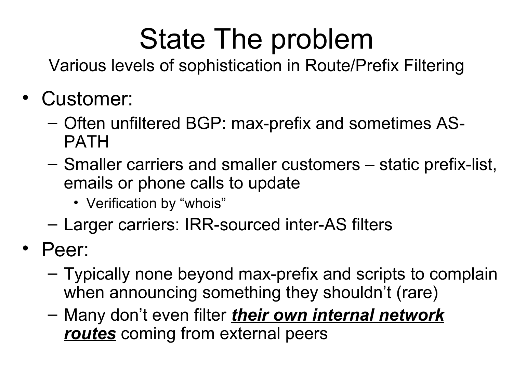### State The problem

Various levels of sophistication in Route/Prefix Filtering

- Customer:
	- Often unfiltered BGP: max-prefix and sometimes AS-PATH
	- Smaller carriers and smaller customers static prefix-list, emails or phone calls to update
		- Verification by "whois"
	- Larger carriers: IRR-sourced inter-AS filters
- Peer:
	- Typically none beyond max-prefix and scripts to complain when announcing something they shouldn't (rare)
	- Many don't even filter *their own internal network routes* coming from external peers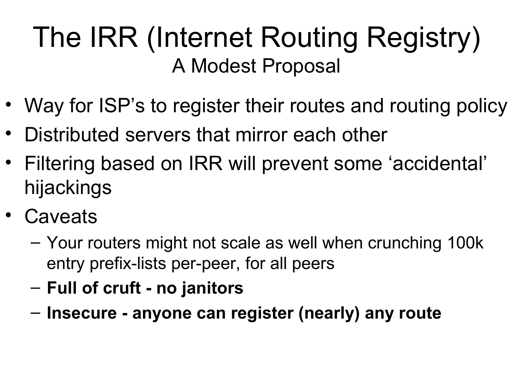### The IRR (Internet Routing Registry) A Modest Proposal

- Way for ISP's to register their routes and routing policy
- Distributed servers that mirror each other
- Filtering based on IRR will prevent some 'accidental' hijackings
- Caveats
	- Your routers might not scale as well when crunching 100k entry prefix-lists per-peer, for all peers
	- **Full of cruft no janitors**
	- **Insecure anyone can register (nearly) any route**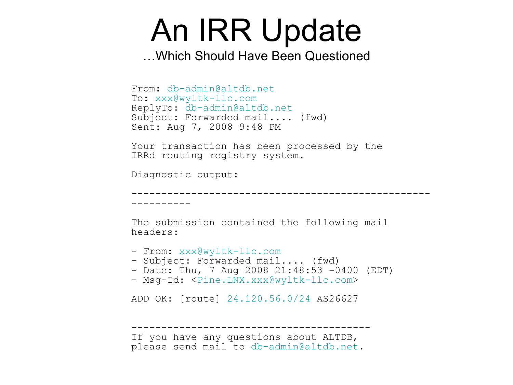### An IRR Update

…Which Should Have Been Questioned

```
From: db-admin@altdb.net
To: xxx@wyltk-llc.com
ReplyTo: db-admin@altdb.net
Subject: Forwarded mail.... (fwd)
Sent: Aug 7, 2008 9:48 PM
Your transaction has been processed by the
```
IRRd routing registry system.

Diagnostic output:

----------

--------------------------------------------------

The submission contained the following mail headers:

```
 xxx@wyltk-llc.com
- Subject: Forwarded mail.... (fwd)
- Date: Thu, 7 Aug 2008 21:48:53 -0400 (EDT)
- Msg-Id: <Pine.LNX.xxx@wyltk-llc.com>
ADD OK: [route] 24.120.56.0/24 AS26627
----------------------------------------
If you have any questions about ALTDB,
please send mail to db-admin@altdb.net.
```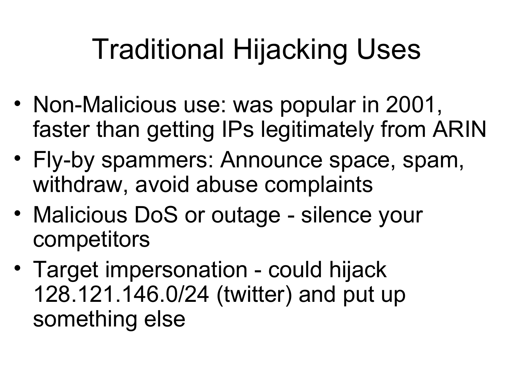### Traditional Hijacking Uses

- Non-Malicious use: was popular in 2001, faster than getting IPs legitimately from ARIN
- Fly-by spammers: Announce space, spam, withdraw, avoid abuse complaints
- Malicious DoS or outage silence your competitors
- Target impersonation could hijack 128.121.146.0/24 (twitter) and put up something else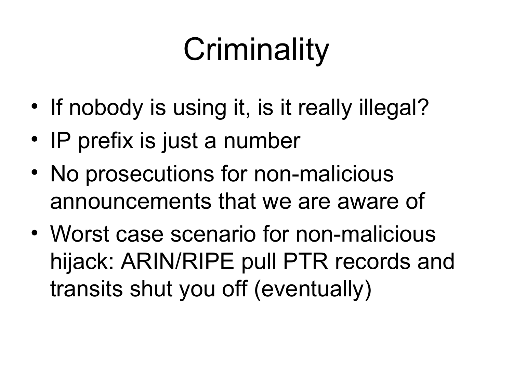# **Criminality**

- If nobody is using it, is it really illegal?
- IP prefix is just a number
- No prosecutions for non-malicious announcements that we are aware of
- Worst case scenario for non-malicious hijack: ARIN/RIPE pull PTR records and transits shut you off (eventually)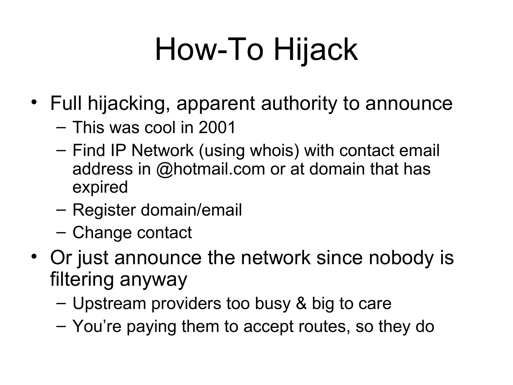# How-To Hijack

- Full hijacking, apparent authority to announce
	- This was cool in 2001
	- Find IP Network (using whois) with contact email address in @hotmail.com or at domain that has expired
	- Register domain/email
	- Change contact
- Or just announce the network since nobody is filtering anyway
	- Upstream providers too busy & big to care
	- You're paying them to accept routes, so they do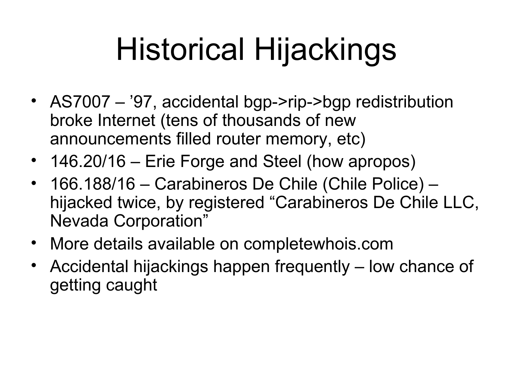# Historical Hijackings

- AS7007 '97, accidental bgp->rip->bgp redistribution broke Internet (tens of thousands of new announcements filled router memory, etc)
- 146.20/16 Erie Forge and Steel (how apropos)
- 166.188/16 Carabineros De Chile (Chile Police) hijacked twice, by registered "Carabineros De Chile LLC, Nevada Corporation"
- More details available on completewhois.com
- Accidental hijackings happen frequently low chance of getting caught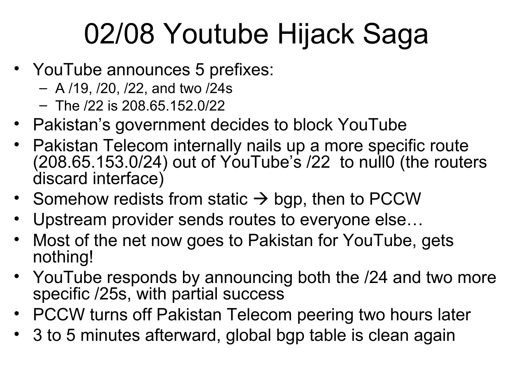### 02/08 Youtube Hijack Saga

- YouTube announces 5 prefixes:
	- A /19, /20, /22, and two /24s
	- The /22 is 208.65.152.0/22
- Pakistan's government decides to block YouTube
- Pakistan Telecom internally nails up a more specific route (208.65.153.0/24) out of YouTube's /22 to null0 (the routers discard interface)
- Somehow redists from static  $\rightarrow$  bgp, then to PCCW
- Upstream provider sends routes to everyone else…
- Most of the net now goes to Pakistan for YouTube, gets nothing!
- YouTube responds by announcing both the /24 and two more specific /25s, with partial success
- PCCW turns off Pakistan Telecom peering two hours later
- 3 to 5 minutes afterward, global bgp table is clean again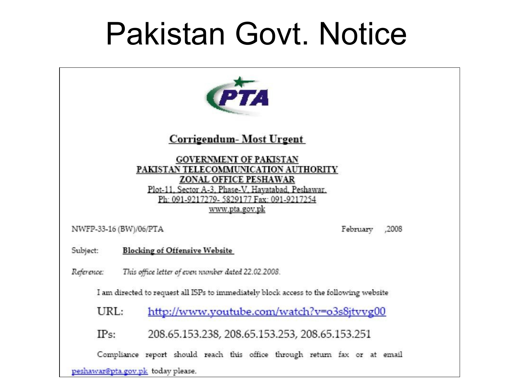### Pakistan Govt. Notice



#### Corrigendum-Most Urgent

**GOVERNMENT OF PAKISTAN** PAKISTAN TELECOMMUNICATION AUTHORITY **ZONAL OFFICE PESHAWAR** Plot-11. Sector A-3. Phase-V. Havatabad. Peshawar. Ph: 091-9217279-5829177 Fax: 091-9217254 www.pta.gov.pk

NWFP-33-16 (BW)/06/PTA

.2008 February

**Blocking of Offensive Website** Subject:

Reference: This office letter of even number dated 22.02.2008.

I am directed to request all ISPs to immediately block access to the following website

URL: http://www.youtube.com/watch?v=o3s8jtvvg00

 $IPs:$ 208.65.153.238, 208.65.153.253, 208.65.153.251

Compliance report should reach this office through return fax or at email

peshawar@pta.gov.pk today please.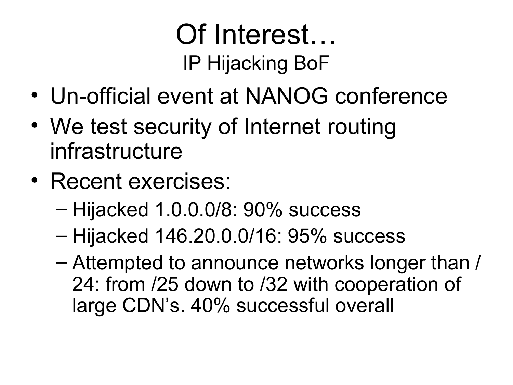### Of Interest… IP Hijacking BoF

- Un-official event at NANOG conference
- We test security of Internet routing infrastructure
- Recent exercises:
	- Hijacked 1.0.0.0/8: 90% success
	- Hijacked 146.20.0.0/16: 95% success
	- Attempted to announce networks longer than / 24: from /25 down to /32 with cooperation of large CDN's. 40% successful overall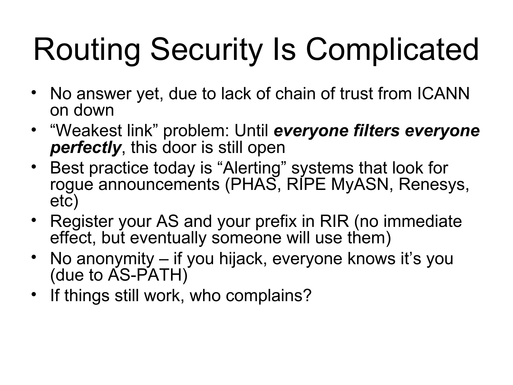# Routing Security Is Complicated

- No answer yet, due to lack of chain of trust from ICANN on down
- "Weakest link" problem: Until *everyone filters everyone perfectly*, this door is still open
- Best practice today is "Alerting" systems that look for roque announcements (PHAS, RIPE MyASN, Renesys, etc)
- Register your AS and your prefix in RIR (no immediate effect, but eventually someone will use them)
- No anonymity if you hijack, everyone knows it's you (due to AS-PATH)
- If things still work, who complains?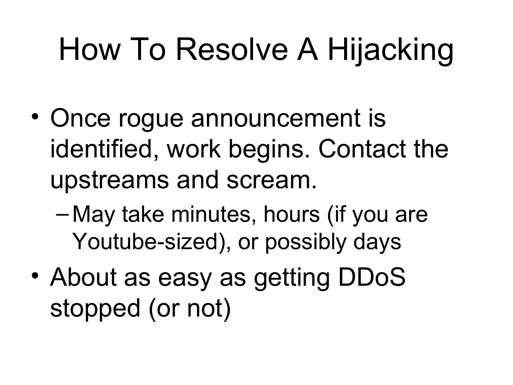# How To Resolve A Hijacking

- Once rogue announcement is identified, work begins. Contact the upstreams and scream.
	- May take minutes, hours (if you are Youtube-sized), or possibly days
- About as easy as getting DDoS stopped (or not)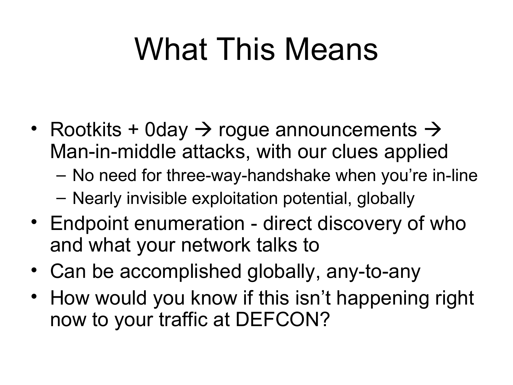## What This Means

- Rootkits + 0day  $\rightarrow$  rogue announcements  $\rightarrow$ Man-in-middle attacks, with our clues applied
	- No need for three-way-handshake when you're in-line
	- Nearly invisible exploitation potential, globally
- Endpoint enumeration direct discovery of who and what your network talks to
- Can be accomplished globally, any-to-any
- How would you know if this isn't happening right now to your traffic at DEFCON?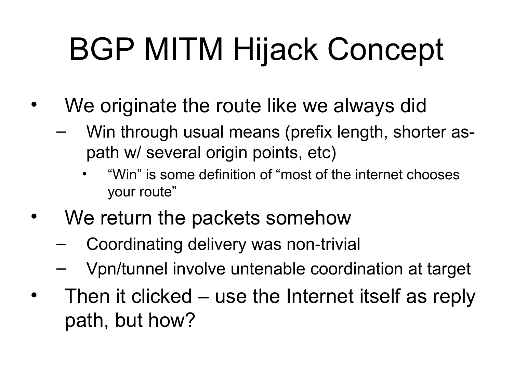# BGP MITM Hijack Concept

- We originate the route like we always did
	- Win through usual means (prefix length, shorter aspath w/ several origin points, etc)
		- "Win" is some definition of "most of the internet chooses your route"
- We return the packets somehow
	- Coordinating delivery was non-trivial
	- Vpn/tunnel involve untenable coordination at target
- Then it clicked use the Internet itself as reply path, but how?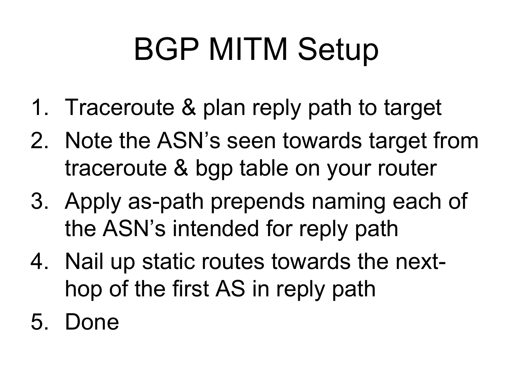# BGP MITM Setup

- 1. Traceroute & plan reply path to target
- 2. Note the ASN's seen towards target from traceroute & bgp table on your router
- 3. Apply as-path prepends naming each of the ASN's intended for reply path
- 4. Nail up static routes towards the nexthop of the first AS in reply path
- 5. Done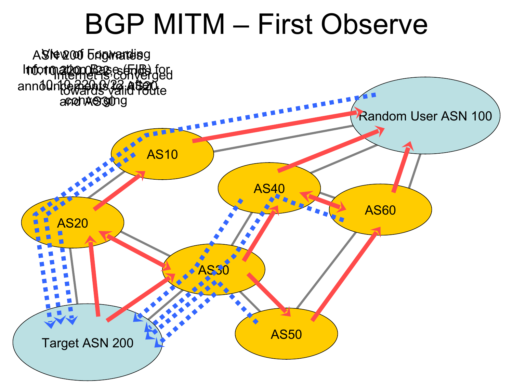### BGP MITM – First Observe

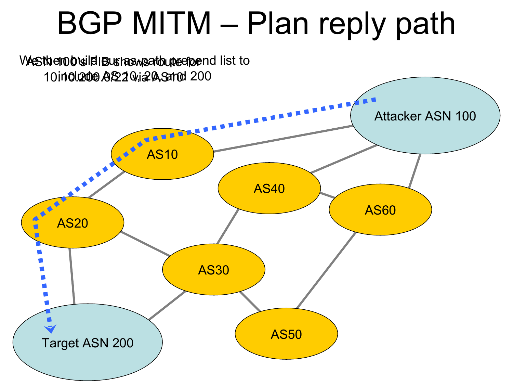### BGP MITM – Plan reply path

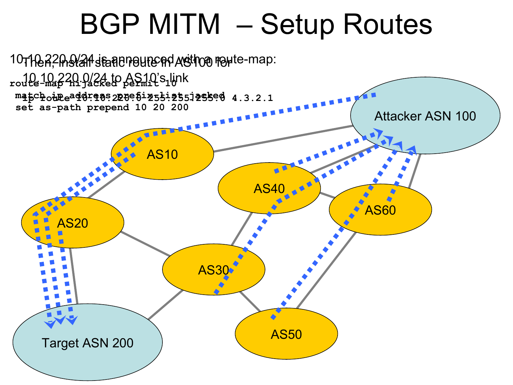### BGP MITM – Setup Routes

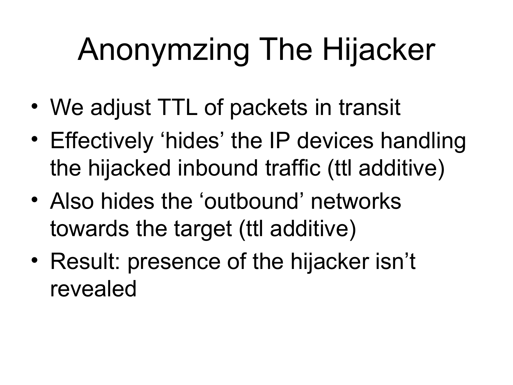# Anonymzing The Hijacker

- We adjust TTL of packets in transit
- Effectively 'hides' the IP devices handling the hijacked inbound traffic (ttl additive)
- Also hides the 'outbound' networks towards the target (ttl additive)
- Result: presence of the hijacker isn't revealed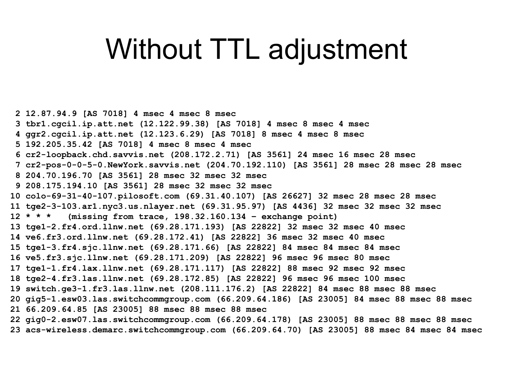### Without TTL adjustment

 **2 12.87.94.9 [AS 7018] 4 msec 4 msec 8 msec 3 tbr1.cgcil.ip.att.net (12.122.99.38) [AS 7018] 4 msec 8 msec 4 msec 4 ggr2.cgcil.ip.att.net (12.123.6.29) [AS 7018] 8 msec 4 msec 8 msec 5 192.205.35.42 [AS 7018] 4 msec 8 msec 4 msec 6 cr2-loopback.chd.savvis.net (208.172.2.71) [AS 3561] 24 msec 16 msec 28 msec 7 cr2-pos-0-0-5-0.NewYork.savvis.net (204.70.192.110) [AS 3561] 28 msec 28 msec 28 msec 8 204.70.196.70 [AS 3561] 28 msec 32 msec 32 msec 9 208.175.194.10 [AS 3561] 28 msec 32 msec 32 msec 10 colo-69-31-40-107.pilosoft.com (69.31.40.107) [AS 26627] 32 msec 28 msec 28 msec 11 tge2-3-103.ar1.nyc3.us.nlayer.net (69.31.95.97) [AS 4436] 32 msec 32 msec 32 msec 12 \* \* \* (missing from trace, 198.32.160.134 – exchange point) 13 tge1-2.fr4.ord.llnw.net (69.28.171.193) [AS 22822] 32 msec 32 msec 40 msec 14 ve6.fr3.ord.llnw.net (69.28.172.41) [AS 22822] 36 msec 32 msec 40 msec 15 tge1-3.fr4.sjc.llnw.net (69.28.171.66) [AS 22822] 84 msec 84 msec 84 msec 16 ve5.fr3.sjc.llnw.net (69.28.171.209) [AS 22822] 96 msec 96 msec 80 msec 17 tge1-1.fr4.lax.llnw.net (69.28.171.117) [AS 22822] 88 msec 92 msec 92 msec 18 tge2-4.fr3.las.llnw.net (69.28.172.85) [AS 22822] 96 msec 96 msec 100 msec 19 switch.ge3-1.fr3.las.llnw.net (208.111.176.2) [AS 22822] 84 msec 88 msec 88 msec 20 gig5-1.esw03.las.switchcommgroup.com (66.209.64.186) [AS 23005] 84 msec 88 msec 88 msec 21 66.209.64.85 [AS 23005] 88 msec 88 msec 88 msec 22 gig0-2.esw07.las.switchcommgroup.com (66.209.64.178) [AS 23005] 88 msec 88 msec 88 msec 23 acs-wireless.demarc.switchcommgroup.com (66.209.64.70) [AS 23005] 88 msec 84 msec 84 msec**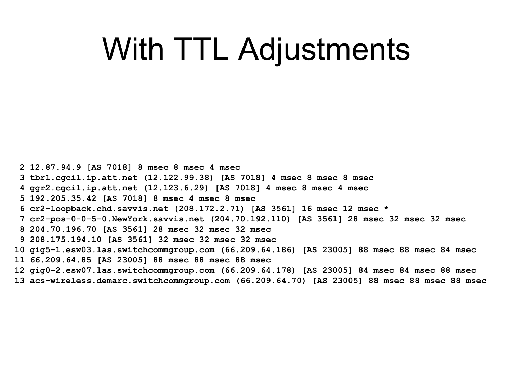### With TTL Adjustments

 **2 12.87.94.9 [AS 7018] 8 msec 8 msec 4 msec 3 tbr1.cgcil.ip.att.net (12.122.99.38) [AS 7018] 4 msec 8 msec 8 msec 4 ggr2.cgcil.ip.att.net (12.123.6.29) [AS 7018] 4 msec 8 msec 4 msec 5 192.205.35.42 [AS 7018] 8 msec 4 msec 8 msec 6 cr2-loopback.chd.savvis.net (208.172.2.71) [AS 3561] 16 msec 12 msec \* 7 cr2-pos-0-0-5-0.NewYork.savvis.net (204.70.192.110) [AS 3561] 28 msec 32 msec 32 msec 8 204.70.196.70 [AS 3561] 28 msec 32 msec 32 msec 9 208.175.194.10 [AS 3561] 32 msec 32 msec 32 msec 10 gig5-1.esw03.las.switchcommgroup.com (66.209.64.186) [AS 23005] 88 msec 88 msec 84 msec 11 66.209.64.85 [AS 23005] 88 msec 88 msec 88 msec 12 gig0-2.esw07.las.switchcommgroup.com (66.209.64.178) [AS 23005] 84 msec 84 msec 88 msec 13 acs-wireless.demarc.switchcommgroup.com (66.209.64.70) [AS 23005] 88 msec 88 msec 88 msec**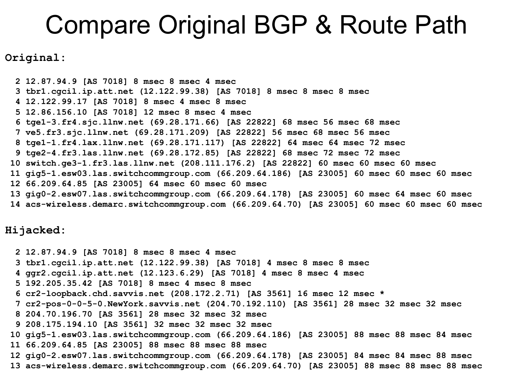#### Compare Original BGP & Route Path

**Original:**

 **2 12.87.94.9 [AS 7018] 8 msec 8 msec 4 msec 3 tbr1.cgcil.ip.att.net (12.122.99.38) [AS 7018] 8 msec 8 msec 8 msec 4 12.122.99.17 [AS 7018] 8 msec 4 msec 8 msec 5 12.86.156.10 [AS 7018] 12 msec 8 msec 4 msec 6 tge1-3.fr4.sjc.llnw.net (69.28.171.66) [AS 22822] 68 msec 56 msec 68 msec 7 ve5.fr3.sjc.llnw.net (69.28.171.209) [AS 22822] 56 msec 68 msec 56 msec 8 tge1-1.fr4.lax.llnw.net (69.28.171.117) [AS 22822] 64 msec 64 msec 72 msec 9 tge2-4.fr3.las.llnw.net (69.28.172.85) [AS 22822] 68 msec 72 msec 72 msec 10 switch.ge3-1.fr3.las.llnw.net (208.111.176.2) [AS 22822] 60 msec 60 msec 60 msec 11 gig5-1.esw03.las.switchcommgroup.com (66.209.64.186) [AS 23005] 60 msec 60 msec 60 msec 12 66.209.64.85 [AS 23005] 64 msec 60 msec 60 msec 13 gig0-2.esw07.las.switchcommgroup.com (66.209.64.178) [AS 23005] 60 msec 64 msec 60 msec 14 acs-wireless.demarc.switchcommgroup.com (66.209.64.70) [AS 23005] 60 msec 60 msec 60 msec**

#### **Hijacked:**

 **2 12.87.94.9 [AS 7018] 8 msec 8 msec 4 msec 3 tbr1.cgcil.ip.att.net (12.122.99.38) [AS 7018] 4 msec 8 msec 8 msec 4 ggr2.cgcil.ip.att.net (12.123.6.29) [AS 7018] 4 msec 8 msec 4 msec 5 192.205.35.42 [AS 7018] 8 msec 4 msec 8 msec 6 cr2-loopback.chd.savvis.net (208.172.2.71) [AS 3561] 16 msec 12 msec \* 7 cr2-pos-0-0-5-0.NewYork.savvis.net (204.70.192.110) [AS 3561] 28 msec 32 msec 32 msec 8 204.70.196.70 [AS 3561] 28 msec 32 msec 32 msec 9 208.175.194.10 [AS 3561] 32 msec 32 msec 32 msec 10 gig5-1.esw03.las.switchcommgroup.com (66.209.64.186) [AS 23005] 88 msec 88 msec 84 msec 11 66.209.64.85 [AS 23005] 88 msec 88 msec 88 msec 12 gig0-2.esw07.las.switchcommgroup.com (66.209.64.178) [AS 23005] 84 msec 84 msec 88 msec 13 acs-wireless.demarc.switchcommgroup.com (66.209.64.70) [AS 23005] 88 msec 88 msec 88 msec**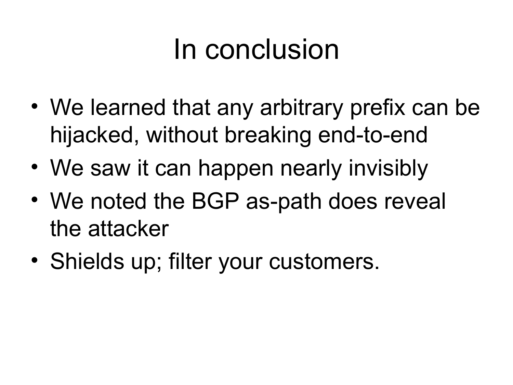### In conclusion

- We learned that any arbitrary prefix can be hijacked, without breaking end-to-end
- We saw it can happen nearly invisibly
- We noted the BGP as-path does reveal the attacker
- Shields up; filter your customers.